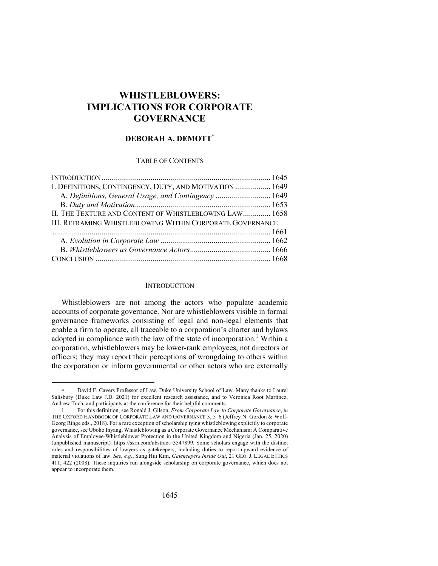# **WHISTLEBLOWERS: IMPLICATIONS FOR CORPORATE GOVERNANCE**

# **DEBORAH A. DEMOTT\***

## TABLE OF CONTENTS

| I. DEFINITIONS, CONTINGENCY, DUTY, AND MOTIVATION  1649   |  |
|-----------------------------------------------------------|--|
| A. Definitions, General Usage, and Contingency  1649      |  |
|                                                           |  |
| II. THE TEXTURE AND CONTENT OF WHISTLEBLOWING LAW 1658    |  |
| III. REFRAMING WHISTLEBLOWING WITHIN CORPORATE GOVERNANCE |  |
|                                                           |  |
|                                                           |  |
|                                                           |  |
|                                                           |  |

## **INTRODUCTION**

Whistleblowers are not among the actors who populate academic accounts of corporate governance. Nor are whistleblowers visible in formal governance frameworks consisting of legal and non-legal elements that enable a firm to operate, all traceable to a corporation's charter and bylaws adopted in compliance with the law of the state of incorporation.<sup>1</sup> Within a corporation, whistleblowers may be lower-rank employees, not directors or officers; they may report their perceptions of wrongdoing to others within the corporation or inform governmental or other actors who are externally

David F. Cavers Professor of Law, Duke University School of Law. Many thanks to Laurel Salisbury (Duke Law J.D. 2021) for excellent research assistance, and to Veronica Root Martinez, Andrew Tuch, and participants at the conference for their helpful comments.

<sup>1.</sup> For this definition, see Ronald J. Gilson, *From Corporate Law to Corporate Governance*, *in* THE OXFORD HANDBOOK OF CORPORATE LAW AND GOVERNANCE 3, 5–6 (Jeffrey N. Gordon & Wolf-Georg Ringe eds., 2018). For a rare exception of scholarship tying whistleblowing explicitly to corporate governance, see Uboho Inyang, Whistleblowing as a Corporate Governance Mechanism: A Comparative Analysis of Employee-Whistleblower Protection in the United Kingdom and Nigeria (Jan. 25, 2020) (unpublished manuscript)*,* https://ssrn.com/abstract=3547899. Some scholars engage with the distinct roles and responsibilities of lawyers as gatekeepers, including duties to report-upward evidence of material violations of law. *See, e.g.*, Sung Hui Kim, *Gatekeepers Inside Out*, 21 GEO. J. LEGAL ETHICS 411, 422 (2008). These inquiries run alongside scholarship on corporate governance, which does not appear to incorporate them.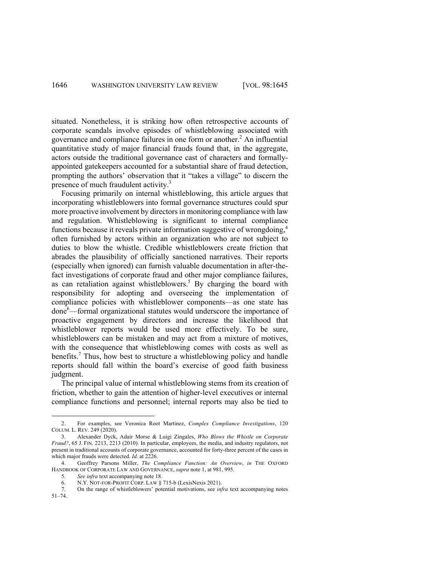situated. Nonetheless, it is striking how often retrospective accounts of corporate scandals involve episodes of whistleblowing associated with governance and compliance failures in one form or another.2 An influential quantitative study of major financial frauds found that, in the aggregate, actors outside the traditional governance cast of characters and formallyappointed gatekeepers accounted for a substantial share of fraud detection, prompting the authors' observation that it "takes a village" to discern the presence of much fraudulent activity.<sup>3</sup>

Focusing primarily on internal whistleblowing, this article argues that incorporating whistleblowers into formal governance structures could spur more proactive involvement by directors in monitoring compliance with law and regulation. Whistleblowing is significant to internal compliance functions because it reveals private information suggestive of wrongdoing,<sup>4</sup> often furnished by actors within an organization who are not subject to duties to blow the whistle. Credible whistleblowers create friction that abrades the plausibility of officially sanctioned narratives. Their reports (especially when ignored) can furnish valuable documentation in after-thefact investigations of corporate fraud and other major compliance failures, as can retaliation against whistleblowers.<sup>5</sup> By charging the board with responsibility for adopting and overseeing the implementation of compliance policies with whistleblower components—as one state has done<sup>6</sup>—formal organizational statutes would underscore the importance of proactive engagement by directors and increase the likelihood that whistleblower reports would be used more effectively. To be sure, whistleblowers can be mistaken and may act from a mixture of motives, with the consequence that whistleblowing comes with costs as well as benefits. <sup>7</sup> Thus, how best to structure a whistleblowing policy and handle reports should fall within the board's exercise of good faith business judgment.

The principal value of internal whistleblowing stems from its creation of friction, whether to gain the attention of higher-level executives or internal compliance functions and personnel; internal reports may also be tied to

<sup>2.</sup> For examples, see Veronica Root Martinez, *Complex Compliance Investigations*, 120 COLUM. L. REV. 249 (2020).

<sup>3.</sup> Alexander Dyck, Adair Morse & Luigi Zingales, *Who Blows the Whistle on Corporate Fraud?*, 65 J. FIN. 2213, 2213 (2010). In particular, employees, the media, and industry regulators, not present in traditional accounts of corporate governance, accounted for forty-three percent of the cases in which major frauds were detected. *Id.* at 2226.

<sup>4.</sup> Geoffrey Parsons Miller, *The Compliance Function: An Overview*, *in* THE OXFORD HANDBOOK OF CORPORATE LAW AND GOVERNANCE, *supra* note 1, at 981, 995.

<sup>5.</sup> *See infra* text accompanying note 18.

<sup>6.</sup> N.Y. NOT-FOR-PROFIT CORP. LAW § 715-b (LexisNexis 2021).

<sup>7.</sup> On the range of whistleblowers' potential motivations, see *infra* text accompanying notes 51–74.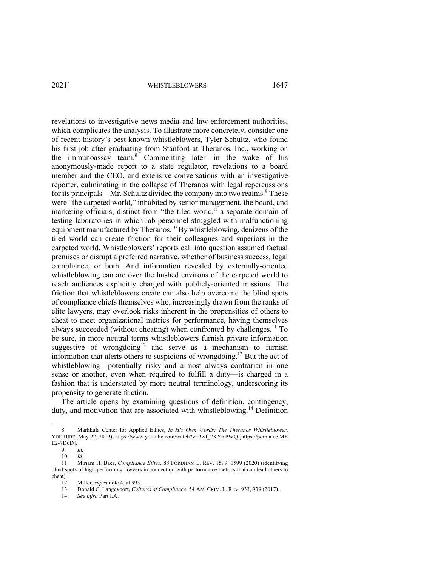revelations to investigative news media and law-enforcement authorities, which complicates the analysis. To illustrate more concretely, consider one of recent history's best-known whistleblowers, Tyler Schultz, who found his first job after graduating from Stanford at Theranos, Inc., working on the immunoassay team.8 Commenting later—in the wake of his anonymously-made report to a state regulator, revelations to a board member and the CEO, and extensive conversations with an investigative reporter, culminating in the collapse of Theranos with legal repercussions for its principals—Mr. Schultz divided the company into two realms.<sup>9</sup> These were "the carpeted world," inhabited by senior management, the board, and marketing officials, distinct from "the tiled world," a separate domain of testing laboratories in which lab personnel struggled with malfunctioning equipment manufactured by Theranos.<sup>10</sup> By whistleblowing, denizens of the tiled world can create friction for their colleagues and superiors in the carpeted world. Whistleblowers' reports call into question assumed factual premises or disrupt a preferred narrative, whether of business success, legal compliance, or both. And information revealed by externally-oriented whistleblowing can arc over the hushed environs of the carpeted world to reach audiences explicitly charged with publicly-oriented missions. The friction that whistleblowers create can also help overcome the blind spots of compliance chiefs themselves who, increasingly drawn from the ranks of elite lawyers, may overlook risks inherent in the propensities of others to cheat to meet organizational metrics for performance, having themselves always succeeded (without cheating) when confronted by challenges.<sup>11</sup> To be sure, in more neutral terms whistleblowers furnish private information suggestive of wrongdoing<sup>12</sup> and serve as a mechanism to furnish information that alerts others to suspicions of wrongdoing.<sup>13</sup> But the act of whistleblowing—potentially risky and almost always contrarian in one sense or another, even when required to fulfill a duty—is charged in a fashion that is understated by more neutral terminology, underscoring its propensity to generate friction.

The article opens by examining questions of definition, contingency, duty, and motivation that are associated with whistleblowing.<sup>14</sup> Definition

<sup>8.</sup> Markkula Center for Applied Ethics, *In His Own Words: The Theranos Whistleblower*, YOUTUBE (May 22, 2019), https://www.youtube.com/watch?v=9wf\_2KYRPWQ [https://perma.cc.ME E2-7D6D].

<sup>9.</sup> *Id.*

<sup>10.</sup> *Id.*

<sup>11.</sup> Miriam H. Baer, *Compliance Elites*, 88 FORDHAM L. REV. 1599, 1599 (2020) (identifying blind spots of high-performing lawyers in connection with performance metrics that can lead others to cheat).<br> $12$ .

Miller, *supra* note 4, at 995.

<sup>13.</sup> Donald C. Langevoort, *Cultures of Compliance*, 54 AM. CRIM. L. REV. 933, 939 (2017).

<sup>14.</sup> *See infra* Part I.A.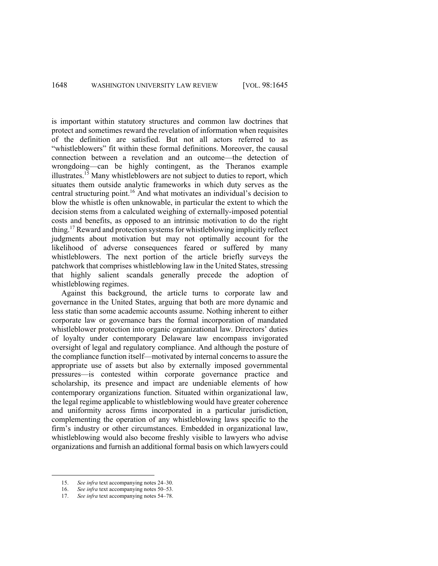is important within statutory structures and common law doctrines that protect and sometimes reward the revelation of information when requisites of the definition are satisfied. But not all actors referred to as "whistleblowers" fit within these formal definitions. Moreover, the causal connection between a revelation and an outcome—the detection of wrongdoing—can be highly contingent, as the Theranos example illustrates.<sup>15</sup> Many whistleblowers are not subject to duties to report, which situates them outside analytic frameworks in which duty serves as the central structuring point.<sup>16</sup> And what motivates an individual's decision to blow the whistle is often unknowable, in particular the extent to which the decision stems from a calculated weighing of externally-imposed potential costs and benefits, as opposed to an intrinsic motivation to do the right thing.<sup>17</sup> Reward and protection systems for whistleblowing implicitly reflect judgments about motivation but may not optimally account for the likelihood of adverse consequences feared or suffered by many whistleblowers. The next portion of the article briefly surveys the patchwork that comprises whistleblowing law in the United States, stressing that highly salient scandals generally precede the adoption of whistleblowing regimes.

Against this background, the article turns to corporate law and governance in the United States, arguing that both are more dynamic and less static than some academic accounts assume. Nothing inherent to either corporate law or governance bars the formal incorporation of mandated whistleblower protection into organic organizational law. Directors' duties of loyalty under contemporary Delaware law encompass invigorated oversight of legal and regulatory compliance. And although the posture of the compliance function itself—motivated by internal concerns to assure the appropriate use of assets but also by externally imposed governmental pressures—is contested within corporate governance practice and scholarship, its presence and impact are undeniable elements of how contemporary organizations function. Situated within organizational law, the legal regime applicable to whistleblowing would have greater coherence and uniformity across firms incorporated in a particular jurisdiction, complementing the operation of any whistleblowing laws specific to the firm's industry or other circumstances. Embedded in organizational law, whistleblowing would also become freshly visible to lawyers who advise organizations and furnish an additional formal basis on which lawyers could

<sup>15.</sup> *See infra* text accompanying notes 24–30.

<sup>16.</sup> *See infra* text accompanying notes 50–53.

<sup>17.</sup> *See infra* text accompanying notes 54–78.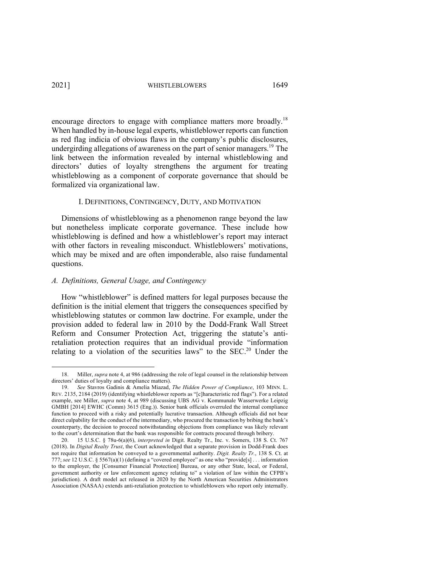encourage directors to engage with compliance matters more broadly.<sup>18</sup> When handled by in-house legal experts, whistleblower reports can function as red flag indicia of obvious flaws in the company's public disclosures, undergirding allegations of awareness on the part of senior managers.<sup>19</sup> The link between the information revealed by internal whistleblowing and directors' duties of loyalty strengthens the argument for treating whistleblowing as a component of corporate governance that should be formalized via organizational law.

## I. DEFINITIONS, CONTINGENCY, DUTY, AND MOTIVATION

Dimensions of whistleblowing as a phenomenon range beyond the law but nonetheless implicate corporate governance. These include how whistleblowing is defined and how a whistleblower's report may interact with other factors in revealing misconduct. Whistleblowers' motivations, which may be mixed and are often imponderable, also raise fundamental questions.

# *A. Definitions, General Usage, and Contingency*

How "whistleblower" is defined matters for legal purposes because the definition is the initial element that triggers the consequences specified by whistleblowing statutes or common law doctrine. For example, under the provision added to federal law in 2010 by the Dodd-Frank Wall Street Reform and Consumer Protection Act, triggering the statute's antiretaliation protection requires that an individual provide "information relating to a violation of the securities laws" to the SEC.<sup>20</sup> Under the

<sup>18.</sup> Miller, *supra* note 4, at 986 (addressing the role of legal counsel in the relationship between directors' duties of loyalty and compliance matters).

<sup>19.</sup> *See* Stavros Gadinis & Amelia Miazad, *The Hidden Power of Compliance*, 103 MINN. L. REV. 2135, 2184 (2019) (identifying whistleblower reports as "[c]haracteristic red flags"). For a related example, see Miller, *supra* note 4, at 989 (discussing UBS AG v. Kommunale Wasserwerke Leipzig GMBH [2014] EWHC (Comm) 3615 (Eng.)). Senior bank officials overruled the internal compliance function to proceed with a risky and potentially lucrative transaction. Although officials did not bear direct culpability for the conduct of the intermediary, who procured the transaction by bribing the bank's counterparty, the decision to proceed notwithstanding objections from compliance was likely relevant to the court's determination that the bank was responsible for contracts procured through bribery.

<sup>20.</sup> 15 U.S.C. § 78u-6(a)(6), *interpreted in* Digit. Realty Tr., Inc. v. Somers, 138 S. Ct. 767 (2018). In *Digital Realty Trust*, the Court acknowledged that a separate provision in Dodd-Frank does not require that information be conveyed to a governmental authority. *Digit. Realty Tr.*, 138 S. Ct. at 777; *see* 12 U.S.C. § 5567(a)(1) (defining a "covered employee" as one who "provide[s] . . . information to the employer, the [Consumer Financial Protection] Bureau, or any other State, local, or Federal, government authority or law enforcement agency relating to" a violation of law within the CFPB's jurisdiction). A draft model act released in 2020 by the North American Securities Administrators Association (NASAA) extends anti-retaliation protection to whistleblowers who report only internally.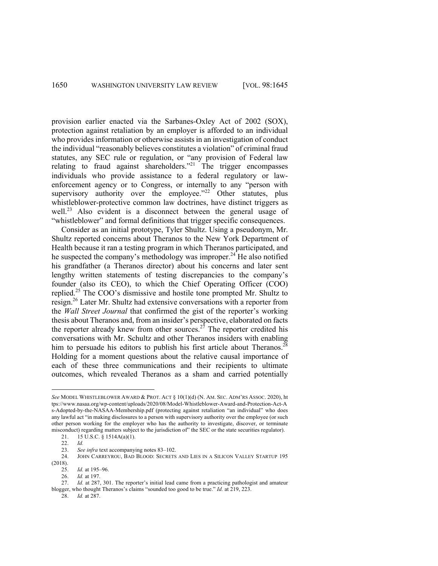provision earlier enacted via the Sarbanes-Oxley Act of 2002 (SOX), protection against retaliation by an employer is afforded to an individual who provides information or otherwise assists in an investigation of conduct the individual "reasonably believes constitutes a violation" of criminal fraud statutes, any SEC rule or regulation, or "any provision of Federal law relating to fraud against shareholders."<sup>21</sup> The trigger encompasses individuals who provide assistance to a federal regulatory or lawenforcement agency or to Congress, or internally to any "person with supervisory authority over the employee."<sup>22</sup> Other statutes, plus whistleblower-protective common law doctrines, have distinct triggers as well.<sup>23</sup> Also evident is a disconnect between the general usage of "whistleblower" and formal definitions that trigger specific consequences.

Consider as an initial prototype, Tyler Shultz. Using a pseudonym, Mr. Shultz reported concerns about Theranos to the New York Department of Health because it ran a testing program in which Theranos participated, and he suspected the company's methodology was improper.<sup>24</sup> He also notified his grandfather (a Theranos director) about his concerns and later sent lengthy written statements of testing discrepancies to the company's founder (also its CEO), to which the Chief Operating Officer (COO) replied.<sup>25</sup> The COO's dismissive and hostile tone prompted Mr. Shultz to resign.26 Later Mr. Shultz had extensive conversations with a reporter from the *Wall Street Journal* that confirmed the gist of the reporter's working thesis about Theranos and, from an insider's perspective, elaborated on facts the reporter already knew from other sources.<sup>27</sup> The reporter credited his conversations with Mr. Schultz and other Theranos insiders with enabling him to persuade his editors to publish his first article about Theranos.<sup>28</sup> Holding for a moment questions about the relative causal importance of each of these three communications and their recipients to ultimate outcomes, which revealed Theranos as a sham and carried potentially

*See* MODEL WHISTLEBLOWER AWARD & PROT. ACT § 10(1)(d) (N. AM. SEC. ADM'RS ASSOC. 2020), ht tps://www.nasaa.org/wp-content/uploads/2020/08/Model-Whistleblower-Award-and-Protection-Act-A s-Adopted-by-the-NASAA-Membership.pdf (protecting against retaliation "an individual" who does any lawful act "in making disclosures to a person with supervisory authority over the employee (or such other person working for the employer who has the authority to investigate, discover, or terminate misconduct) regarding matters subject to the jurisdiction of" the SEC or the state securities regulator).

<sup>21.</sup> 15 U.S.C. § 1514A(a)(1).

<sup>22.</sup> *Id.*

<sup>23.</sup> *See infra* text accompanying notes 83–102.

<sup>24.</sup> JOHN CARREYROU, BAD BLOOD: SECRETS AND LIES IN A SILICON VALLEY STARTUP 195 (2018).

<sup>25.</sup> *Id.* at 195–96.

<sup>26.</sup> *Id.* at 197. Id. at 287, 301. The reporter's initial lead came from a practicing pathologist and amateur blogger, who thought Theranos's claims "sounded too good to be true." *Id.* at 219, 223.

<sup>28.</sup> *Id.* at 287.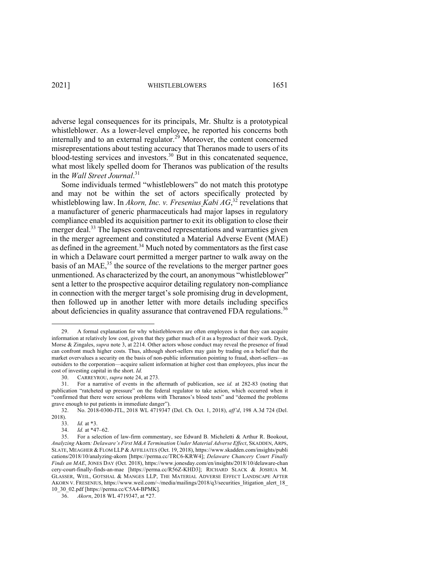adverse legal consequences for its principals, Mr. Shultz is a prototypical whistleblower. As a lower-level employee, he reported his concerns both internally and to an external regulator.<sup>29</sup> Moreover, the content concerned misrepresentations about testing accuracy that Theranos made to users of its blood-testing services and investors.<sup>30</sup> But in this concatenated sequence, what most likely spelled doom for Theranos was publication of the results in the *Wall Street Journal*. 31

Some individuals termed "whistleblowers" do not match this prototype and may not be within the set of actors specifically protected by whistleblowing law. In *Akorn, Inc. v. Fresenius Kabi AG*, <sup>32</sup> revelations that a manufacturer of generic pharmaceuticals had major lapses in regulatory compliance enabled its acquisition partner to exit its obligation to close their merger deal.<sup>33</sup> The lapses contravened representations and warranties given in the merger agreement and constituted a Material Adverse Event (MAE) as defined in the agreement.34 Much noted by commentators as the first case in which a Delaware court permitted a merger partner to walk away on the basis of an MAE $<sub>35</sub>$ <sup>35</sup> the source of the revelations to the merger partner goes</sub> unmentioned. As characterized by the court, an anonymous "whistleblower" sent a letter to the prospective acquiror detailing regulatory non-compliance in connection with the merger target's sole promising drug in development, then followed up in another letter with more details including specifics about deficiencies in quality assurance that contravened FDA regulations.<sup>36</sup>

<sup>29.</sup> A formal explanation for why whistleblowers are often employees is that they can acquire information at relatively low cost, given that they gather much of it as a byproduct of their work. Dyck, Morse & Zingales, *supra* note 3, at 2214. Other actors whose conduct may reveal the presence of fraud can confront much higher costs. Thus, although short-sellers may gain by trading on a belief that the market overvalues a security on the basis of non-public information pointing to fraud, short-sellers—as outsiders to the corporation—acquire salient information at higher cost than employees, plus incur the cost of investing capital in the short. *Id.*

<sup>30.</sup> CARREYROU, *supra* note 24, at 273.

<sup>31.</sup> For a narrative of events in the aftermath of publication, see *id.* at 282-83 (noting that publication "ratcheted up pressure" on the federal regulator to take action, which occurred when it "confirmed that there were serious problems with Theranos's blood tests" and "deemed the problems grave enough to put patients in immediate danger").

<sup>32.</sup> No. 2018-0300-JTL, 2018 WL 4719347 (Del. Ch. Oct. 1, 2018), *aff'd*, 198 A.3d 724 (Del. 2018).

<sup>33.</sup> *Id.* at \*3.

<sup>34.</sup> *Id.* at \*47–62.

<sup>35.</sup> For a selection of law-firm commentary, see Edward B. Micheletti & Arthur R. Bookout, *Analyzing* Akorn*: Delaware's First M&A Termination Under Material Adverse Effect*, SKADDEN, ARPS, SLATE, MEAGHER & FLOM LLP & AFFILIATES (Oct. 19, 2018), https://www.skadden.com/insights/publi cations/2018/10/analyzing-akorn [https://perma.cc/TRC6-KRW4]; *Delaware Chancery Court Finally Finds an MAE*, JONES DAY (Oct. 2018), https://www.jonesday.com/en/insights/2018/10/delaware-chan cery-court-finally-finds-an-mae [https://perma.cc/R56Z-KHD3]; RICHARD SLACK & JOSHUA M. GLASSER, WEIL, GOTSHAL & MANGES LLP, THE MATERIAL ADVERSE EFFECT LANDSCAPE AFTER AKORN V. FRESENIUS, https://www.weil.com/~/media/mailings/2018/q3/securities\_litigation\_alert\_18\_ 10\_30\_02.pdf [https://perma.cc/C5A4-BPMK].

<sup>36.</sup> *Akorn*, 2018 WL 4719347, at \*27.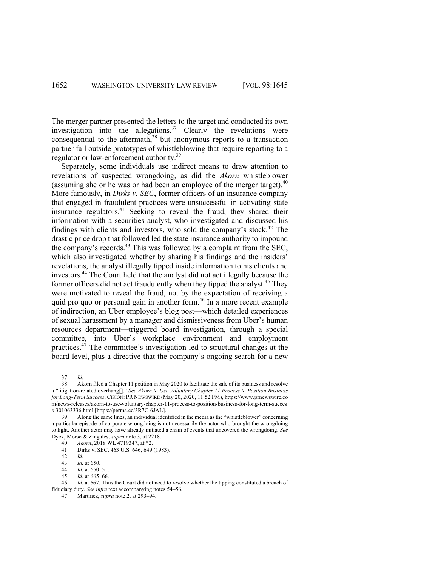The merger partner presented the letters to the target and conducted its own investigation into the allegations.<sup>37</sup> Clearly the revelations were consequential to the aftermath, $38$  but anonymous reports to a transaction partner fall outside prototypes of whistleblowing that require reporting to a regulator or law-enforcement authority.<sup>39</sup>

Separately, some individuals use indirect means to draw attention to revelations of suspected wrongdoing, as did the *Akorn* whistleblower (assuming she or he was or had been an employee of the merger target).<sup>40</sup> More famously, in *Dirks v. SEC*, former officers of an insurance company that engaged in fraudulent practices were unsuccessful in activating state insurance regulators.<sup>41</sup> Seeking to reveal the fraud, they shared their information with a securities analyst, who investigated and discussed his findings with clients and investors, who sold the company's stock.<sup>42</sup> The drastic price drop that followed led the state insurance authority to impound the company's records.<sup>43</sup> This was followed by a complaint from the SEC, which also investigated whether by sharing his findings and the insiders' revelations, the analyst illegally tipped inside information to his clients and investors. <sup>44</sup> The Court held that the analyst did not act illegally because the former officers did not act fraudulently when they tipped the analyst.<sup>45</sup> They were motivated to reveal the fraud, not by the expectation of receiving a quid pro quo or personal gain in another form. <sup>46</sup> In a more recent example of indirection, an Uber employee's blog post—which detailed experiences of sexual harassment by a manager and dismissiveness from Uber's human resources department—triggered board investigation, through a special committee, into Uber's workplace environment and employment practices.47 The committee's investigation led to structural changes at the board level, plus a directive that the company's ongoing search for a new

<sup>37.</sup> *Id.* 

Akorn filed a Chapter 11 petition in May 2020 to facilitate the sale of its business and resolve a "litigation-related overhang[]." *See Akorn to Use Voluntary Chapter 11 Process to Position Business for Long-Term Success*, CISION: PR NEWSWIRE (May 20, 2020, 11:52 PM), https://www.prnewswire.co m/news-releases/akorn-to-use-voluntary-chapter-11-process-to-position-business-for-long-term-succes s-301063336.html [https://perma.cc/3R7C-6JAL].

<sup>39.</sup> Along the same lines, an individual identified in the media as the "whistleblower" concerning a particular episode of corporate wrongdoing is not necessarily the actor who brought the wrongdoing to light. Another actor may have already initiated a chain of events that uncovered the wrongdoing. *See* Dyck, Morse & Zingales, *supra* note 3, at 2218.

<sup>40.</sup> *Akorn*, 2018 WL 4719347, at \*2.

<sup>41.</sup> Dirks v. SEC, 463 U.S. 646, 649 (1983).

<sup>42.</sup> *Id.*

*Id.* at 650.

<sup>44.</sup> *Id.* at 650–51.

<sup>45.</sup> *Id.* at 665–66.

<sup>46.</sup> *Id.* at 667. Thus the Court did not need to resolve whether the tipping constituted a breach of fiduciary duty. *See infra* text accompanying notes 54–56*.*

<sup>47.</sup> Martinez, *supra* note 2, at 293–94.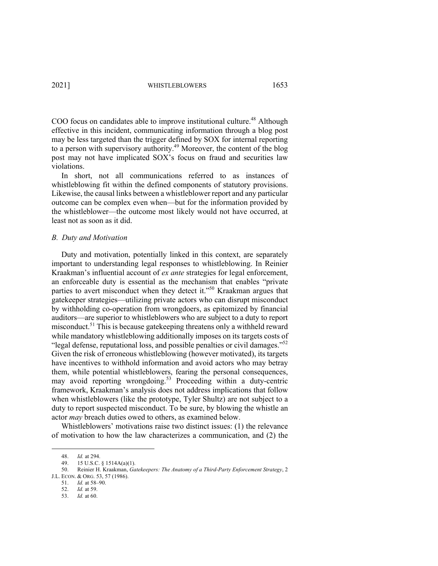COO focus on candidates able to improve institutional culture.<sup>48</sup> Although effective in this incident, communicating information through a blog post may be less targeted than the trigger defined by SOX for internal reporting to a person with supervisory authority. <sup>49</sup> Moreover, the content of the blog post may not have implicated SOX's focus on fraud and securities law violations.

In short, not all communications referred to as instances of whistleblowing fit within the defined components of statutory provisions. Likewise, the causal links between a whistleblower report and any particular outcome can be complex even when—but for the information provided by the whistleblower—the outcome most likely would not have occurred, at least not as soon as it did.

#### *B. Duty and Motivation*

Duty and motivation, potentially linked in this context, are separately important to understanding legal responses to whistleblowing. In Reinier Kraakman's influential account of *ex ante* strategies for legal enforcement, an enforceable duty is essential as the mechanism that enables "private parties to avert misconduct when they detect it."<sup>50</sup> Kraakman argues that gatekeeper strategies—utilizing private actors who can disrupt misconduct by withholding co-operation from wrongdoers, as epitomized by financial auditors—are superior to whistleblowers who are subject to a duty to report misconduct.<sup>51</sup> This is because gatekeeping threatens only a withheld reward while mandatory whistleblowing additionally imposes on its targets costs of "legal defense, reputational loss, and possible penalties or civil damages." $52$ Given the risk of erroneous whistleblowing (however motivated), its targets have incentives to withhold information and avoid actors who may betray them, while potential whistleblowers, fearing the personal consequences, may avoid reporting wrongdoing.<sup>53</sup> Proceeding within a duty-centric framework, Kraakman's analysis does not address implications that follow when whistleblowers (like the prototype, Tyler Shultz) are not subject to a duty to report suspected misconduct. To be sure, by blowing the whistle an actor *may* breach duties owed to others, as examined below.

Whistleblowers' motivations raise two distinct issues: (1) the relevance of motivation to how the law characterizes a communication, and (2) the

<sup>48.</sup> *Id.* at 294.

<sup>15</sup> U.S.C.  $\S$  1514A(a)(1).

<sup>50.</sup> Reinier H. Kraakman, *Gatekeepers: The Anatomy of a Third-Party Enforcement Strategy*, 2 J.L. ECON. & ORG. 53, 57 (1986).

<sup>51.</sup> *Id.* at 58–90.

<sup>52.</sup> *Id.* at 59.

<sup>53.</sup> *Id.* at 60.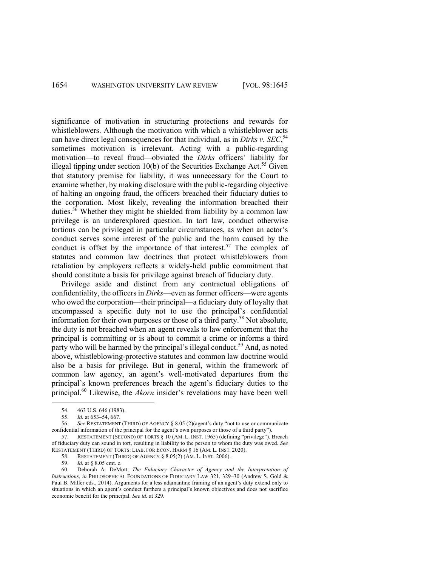significance of motivation in structuring protections and rewards for whistleblowers. Although the motivation with which a whistleblower acts can have direct legal consequences for that individual, as in *Dirks v. SEC*,<sup>54</sup> sometimes motivation is irrelevant. Acting with a public-regarding motivation—to reveal fraud—obviated the *Dirks* officers' liability for illegal tipping under section  $10(b)$  of the Securities Exchange Act.<sup>55</sup> Given that statutory premise for liability, it was unnecessary for the Court to examine whether, by making disclosure with the public-regarding objective of halting an ongoing fraud, the officers breached their fiduciary duties to the corporation. Most likely, revealing the information breached their duties.<sup>56</sup> Whether they might be shielded from liability by a common law privilege is an underexplored question. In tort law, conduct otherwise tortious can be privileged in particular circumstances, as when an actor's conduct serves some interest of the public and the harm caused by the conduct is offset by the importance of that interest.<sup>57</sup> The complex of statutes and common law doctrines that protect whistleblowers from retaliation by employers reflects a widely-held public commitment that should constitute a basis for privilege against breach of fiduciary duty.

Privilege aside and distinct from any contractual obligations of confidentiality, the officers in *Dirks*—even as former officers—were agents who owed the corporation—their principal—a fiduciary duty of loyalty that encompassed a specific duty not to use the principal's confidential information for their own purposes or those of a third party.<sup>58</sup> Not absolute, the duty is not breached when an agent reveals to law enforcement that the principal is committing or is about to commit a crime or informs a third party who will be harmed by the principal's illegal conduct.<sup>59</sup> And, as noted above, whistleblowing-protective statutes and common law doctrine would also be a basis for privilege. But in general, within the framework of common law agency, an agent's well-motivated departures from the principal's known preferences breach the agent's fiduciary duties to the principal.60 Likewise, the *Akorn* insider's revelations may have been well

<sup>54.</sup> 463 U.S. 646 (1983).

<sup>55.</sup> *Id.* at 653–54, 667.

<sup>56.</sup> *See* RESTATEMENT (THIRD) OF AGENCY § 8.05 (2)(agent's duty "not to use or communicate confidential information of the principal for the agent's own purposes or those of a third party").

<sup>57.</sup> RESTATEMENT (SECOND) OF TORTS § 10 (AM. L. INST. 1965) (defining "privilege"). Breach of fiduciary duty can sound in tort, resulting in liability to the person to whom the duty was owed. *See* RESTATEMENT (THIRD) OF TORTS: LIAB. FOR ECON. HARM § 16 (AM. L. INST. 2020).

<sup>58.</sup> RESTATEMENT (THIRD) OF AGENCY § 8.05(2) (AM. L. INST. 2006).<br>59. Id. at \$ 8.05 cmt. c.

<sup>59.</sup> *Id.* at § 8.05 cmt. c.

<sup>60.</sup> Deborah A. DeMott, *The Fiduciary Character of Agency and the Interpretation of Instructions*, *in* PHILOSOPHICAL FOUNDATIONS OF FIDUCIARY LAW 321, 329–30 (Andrew S. Gold & Paul B. Miller eds., 2014). Arguments for a less adamantine framing of an agent's duty extend only to situations in which an agent's conduct furthers a principal's known objectives and does not sacrifice economic benefit for the principal. *See id.* at 329.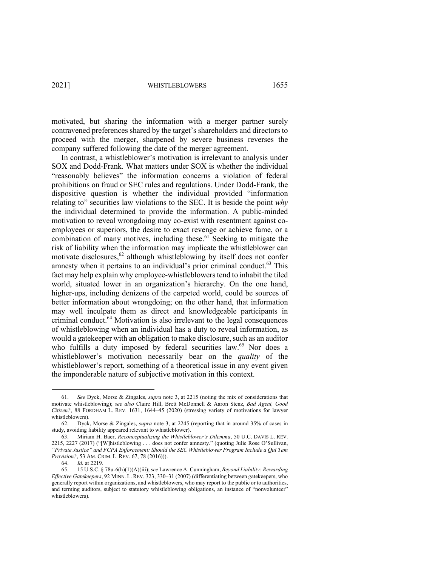motivated, but sharing the information with a merger partner surely contravened preferences shared by the target's shareholders and directors to proceed with the merger, sharpened by severe business reverses the company suffered following the date of the merger agreement.

In contrast, a whistleblower's motivation is irrelevant to analysis under SOX and Dodd-Frank. What matters under SOX is whether the individual "reasonably believes" the information concerns a violation of federal prohibitions on fraud or SEC rules and regulations. Under Dodd-Frank, the dispositive question is whether the individual provided "information relating to" securities law violations to the SEC. It is beside the point *why* the individual determined to provide the information. A public-minded motivation to reveal wrongdoing may co-exist with resentment against coemployees or superiors, the desire to exact revenge or achieve fame, or a combination of many motives, including these. <sup>61</sup> Seeking to mitigate the risk of liability when the information may implicate the whistleblower can motivate disclosures, <sup>62</sup> although whistleblowing by itself does not confer amnesty when it pertains to an individual's prior criminal conduct. $63$  This fact may help explain why employee-whistleblowers tend to inhabit the tiled world, situated lower in an organization's hierarchy. On the one hand, higher-ups, including denizens of the carpeted world, could be sources of better information about wrongdoing; on the other hand, that information may well inculpate them as direct and knowledgeable participants in criminal conduct.<sup>64</sup> Motivation is also irrelevant to the legal consequences of whistleblowing when an individual has a duty to reveal information, as would a gatekeeper with an obligation to make disclosure, such as an auditor who fulfills a duty imposed by federal securities law.<sup>65</sup> Nor does a whistleblower's motivation necessarily bear on the *quality* of the whistleblower's report, something of a theoretical issue in any event given the imponderable nature of subjective motivation in this context.

<sup>61.</sup> *See* Dyck, Morse & Zingales, *supra* note 3, at 2215 (noting the mix of considerations that motivate whistleblowing); *see also* Claire Hill, Brett McDonnell & Aaron Stenz, *Bad Agent, Good Citizen?*, 88 FORDHAM L. REV. 1631, 1644–45 (2020) (stressing variety of motivations for lawyer whistleblowers).

<sup>62.</sup> Dyck, Morse & Zingales, *supra* note 3, at 2245 (reporting that in around 35% of cases in study, avoiding liability appeared relevant to whistleblower).

<sup>63.</sup> Miriam H. Baer, *Reconceptualizing the Whistleblower's Dilemma*, 50 U.C. DAVIS L. REV. 2215, 2227 (2017) ("[W]histleblowing . . . does not confer amnesty." (quoting Julie Rose O'Sullivan, *"Private Justice" and FCPA Enforcement: Should the SEC Whistleblower Program Include a Qui Tam Provision?*, 53 AM. CRIM. L. REV. 67, 78 (2016))).

<sup>64.</sup> *Id.* at 2219.

<sup>65.</sup> 15 U.S.C. § 78u-6(h)(1)(A)(iii); *see* Lawrence A. Cunningham, *Beyond Liability: Rewarding Effective Gatekeepers*, 92 MINN. L. REV. 323, 330–31 (2007) (differentiating between gatekeepers, who generally report within organizations, and whistleblowers, who may report to the public or to authorities, and terming auditors, subject to statutory whistleblowing obligations, an instance of "nonvolunteer" whistleblowers).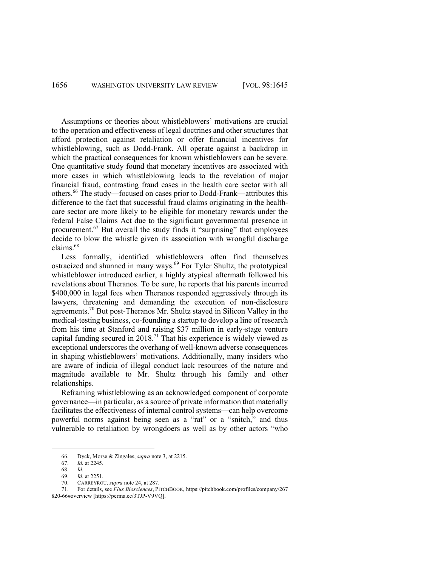Assumptions or theories about whistleblowers' motivations are crucial to the operation and effectiveness of legal doctrines and other structures that afford protection against retaliation or offer financial incentives for whistleblowing, such as Dodd-Frank. All operate against a backdrop in which the practical consequences for known whistleblowers can be severe. One quantitative study found that monetary incentives are associated with more cases in which whistleblowing leads to the revelation of major financial fraud, contrasting fraud cases in the health care sector with all others.66 The study—focused on cases prior to Dodd-Frank—attributes this difference to the fact that successful fraud claims originating in the healthcare sector are more likely to be eligible for monetary rewards under the federal False Claims Act due to the significant governmental presence in procurement.67 But overall the study finds it "surprising" that employees decide to blow the whistle given its association with wrongful discharge claims.68

Less formally, identified whistleblowers often find themselves ostracized and shunned in many ways.<sup>69</sup> For Tyler Shultz, the prototypical whistleblower introduced earlier, a highly atypical aftermath followed his revelations about Theranos. To be sure, he reports that his parents incurred \$400,000 in legal fees when Theranos responded aggressively through its lawyers, threatening and demanding the execution of non-disclosure agreements.<sup>70</sup> But post-Theranos Mr. Shultz stayed in Silicon Valley in the medical-testing business, co-founding a startup to develop a line of research from his time at Stanford and raising \$37 million in early-stage venture capital funding secured in 2018.<sup>71</sup> That his experience is widely viewed as exceptional underscores the overhang of well-known adverse consequences in shaping whistleblowers' motivations. Additionally, many insiders who are aware of indicia of illegal conduct lack resources of the nature and magnitude available to Mr. Shultz through his family and other relationships.

Reframing whistleblowing as an acknowledged component of corporate governance—in particular, as a source of private information that materially facilitates the effectiveness of internal control systems—can help overcome powerful norms against being seen as a "rat" or a "snitch," and thus vulnerable to retaliation by wrongdoers as well as by other actors "who

<sup>66.</sup> Dyck, Morse & Zingales, *supra* note 3, at 2215.

*Id.* at 2245.

<sup>68.</sup> *Id.*

<sup>69.</sup> *Id.* at 2251.

<sup>70.</sup> CARREYROU, *supra* note 24, at 287.

<sup>71.</sup> For details, see *Flux Biosciences*, PITCHBOOK, https://pitchbook.com/profiles/company/267 820-66#overview [https://perma.cc/3TJP-V9VQ].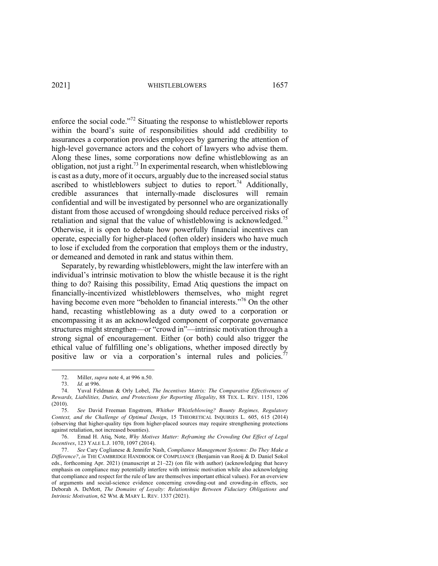enforce the social code."72 Situating the response to whistleblower reports within the board's suite of responsibilities should add credibility to assurances a corporation provides employees by garnering the attention of high-level governance actors and the cohort of lawyers who advise them. Along these lines, some corporations now define whistleblowing as an obligation, not just a right.73 In experimental research, when whistleblowing is cast as a duty, more of it occurs, arguably due to the increased social status ascribed to whistleblowers subject to duties to report.<sup>74</sup> Additionally, credible assurances that internally-made disclosures will remain confidential and will be investigated by personnel who are organizationally distant from those accused of wrongdoing should reduce perceived risks of retaliation and signal that the value of whistleblowing is acknowledged.<sup>75</sup> Otherwise, it is open to debate how powerfully financial incentives can operate, especially for higher-placed (often older) insiders who have much to lose if excluded from the corporation that employs them or the industry, or demeaned and demoted in rank and status within them.

Separately, by rewarding whistleblowers, might the law interfere with an individual's intrinsic motivation to blow the whistle because it is the right thing to do? Raising this possibility, Emad Atiq questions the impact on financially-incentivized whistleblowers themselves, who might regret having become even more "beholden to financial interests."76 On the other hand, recasting whistleblowing as a duty owed to a corporation or encompassing it as an acknowledged component of corporate governance structures might strengthen—or "crowd in"—intrinsic motivation through a strong signal of encouragement. Either (or both) could also trigger the ethical value of fulfilling one's obligations, whether imposed directly by positive law or via a corporation's internal rules and policies.<sup>77</sup>

<sup>72.</sup> Miller, *supra* note 4, at 996 n.50.

<sup>73.</sup> *Id.* at 996.

<sup>74.</sup> Yuval Feldman & Orly Lobel, *The Incentives Matrix: The Comparative Effectiveness of Rewards, Liabilities, Duties, and Protections for Reporting Illegality*, 88 TEX. L. REV. 1151, 1206 (2010).

<sup>75.</sup> *See* David Freeman Engstrom, *Whither Whistleblowing? Bounty Regimes, Regulatory Context, and the Challenge of Optimal Design*, 15 THEORETICAL INQUIRIES L. 605, 615 (2014) (observing that higher-quality tips from higher-placed sources may require strengthening protections against retaliation, not increased bounties).

<sup>76.</sup> Emad H. Atiq, Note, *Why Motives Matter: Reframing the Crowding Out Effect of Legal Incentives*, 123 YALE L.J. 1070, 1097 (2014).

<sup>77.</sup> *See* Cary Coglianese & Jennifer Nash, *Compliance Management Systems: Do They Make a Difference?*, *in* THE CAMBRIDGE HANDBOOK OF COMPLIANCE (Benjamin van Rooij & D. Daniel Sokol eds., forthcoming Apr. 2021) (manuscript at 21–22) (on file with author) (acknowledging that heavy emphasis on compliance may potentially interfere with intrinsic motivation while also acknowledging that compliance and respect for the rule of law are themselves important ethical values). For an overview of arguments and social-science evidence concerning crowding-out and crowding-in effects, see Deborah A. DeMott, *The Domains of Loyalty: Relationships Between Fiduciary Obligations and Intrinsic Motivation*, 62 WM. & MARY L. REV. 1337 (2021).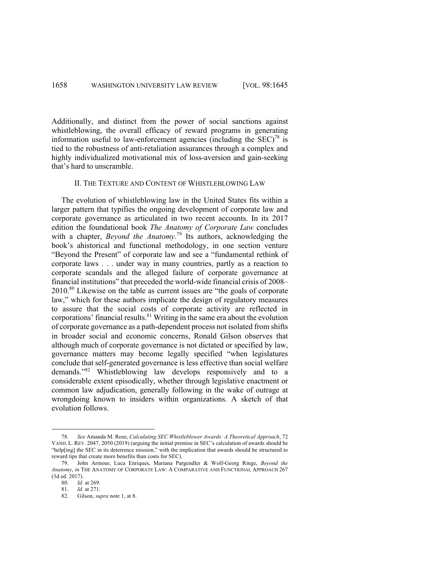Additionally, and distinct from the power of social sanctions against whistleblowing, the overall efficacy of reward programs in generating information useful to law-enforcement agencies (including the  $SEC$ )<sup>78</sup> is tied to the robustness of anti-retaliation assurances through a complex and highly individualized motivational mix of loss-aversion and gain-seeking that's hard to unscramble.

## II. THE TEXTURE AND CONTENT OF WHISTLEBLOWING LAW

The evolution of whistleblowing law in the United States fits within a larger pattern that typifies the ongoing development of corporate law and corporate governance as articulated in two recent accounts. In its 2017 edition the foundational book *The Anatomy of Corporate Law* concludes with a chapter, *Beyond the Anatomy*. <sup>79</sup> Its authors, acknowledging the book's ahistorical and functional methodology, in one section venture "Beyond the Present" of corporate law and see a "fundamental rethink of corporate laws . . . under way in many countries, partly as a reaction to corporate scandals and the alleged failure of corporate governance at financial institutions" that preceded the world-wide financial crisis of 2008– 2010.80 Likewise on the table as current issues are "the goals of corporate law," which for these authors implicate the design of regulatory measures to assure that the social costs of corporate activity are reflected in corporations' financial results. $81$  Writing in the same era about the evolution of corporate governance as a path-dependent process not isolated from shifts in broader social and economic concerns, Ronald Gilson observes that although much of corporate governance is not dictated or specified by law, governance matters may become legally specified "when legislatures conclude that self-generated governance is less effective than social welfare demands."<sup>82</sup> Whistleblowing law develops responsively and to a considerable extent episodically, whether through legislative enactment or common law adjudication, generally following in the wake of outrage at wrongdoing known to insiders within organizations. A sketch of that evolution follows.

<sup>78.</sup> *See* Amanda M. Rose, *Calculating SEC Whistleblower Awards: A Theoretical Approach*, 72 VAND. L. REV. 2047, 2050 (2019) (arguing the initial premise in SEC's calculation of awards should be "help[ing] the SEC in its deterrence mission," with the implication that awards should be structured to reward tips that create more benefits than costs for SEC).

<sup>79.</sup> John Armour, Luca Enriques, Mariana Pargendler & Wolf-Georg Ringe, *Beyond the Anatomy*, *in* THE ANATOMY OF CORPORATE LAW: A COMPARATIVE AND FUNCTIONAL APPROACH 267 (3d ed. 2017).

<sup>80.</sup> *Id.* at 269.

<sup>81.</sup> *Id.* at 271.

<sup>82.</sup> Gilson, *supra* note 1, at 8.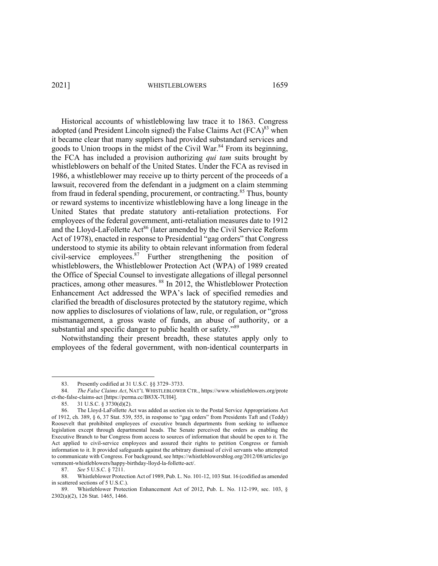Historical accounts of whistleblowing law trace it to 1863. Congress adopted (and President Lincoln signed) the False Claims Act  $(FCA)^{83}$  when it became clear that many suppliers had provided substandard services and goods to Union troops in the midst of the Civil War. $84$  From its beginning, the FCA has included a provision authorizing *qui tam* suits brought by whistleblowers on behalf of the United States. Under the FCA as revised in 1986, a whistleblower may receive up to thirty percent of the proceeds of a lawsuit, recovered from the defendant in a judgment on a claim stemming from fraud in federal spending, procurement, or contracting.<sup>85</sup> Thus, bounty or reward systems to incentivize whistleblowing have a long lineage in the United States that predate statutory anti-retaliation protections. For employees of the federal government, anti-retaliation measures date to 1912 and the Lloyd-LaFollette Act<sup>86</sup> (later amended by the Civil Service Reform Act of 1978), enacted in response to Presidential "gag orders" that Congress understood to stymie its ability to obtain relevant information from federal civil-service employees.<sup>87</sup> Further strengthening the position of whistleblowers, the Whistleblower Protection Act (WPA) of 1989 created the Office of Special Counsel to investigate allegations of illegal personnel practices, among other measures. <sup>88</sup> In 2012, the Whistleblower Protection Enhancement Act addressed the WPA's lack of specified remedies and clarified the breadth of disclosures protected by the statutory regime, which now applies to disclosures of violations of law, rule, or regulation, or "gross mismanagement, a gross waste of funds, an abuse of authority, or a substantial and specific danger to public health or safety."<sup>89</sup>

Notwithstanding their present breadth, these statutes apply only to employees of the federal government, with non-identical counterparts in

<sup>83.</sup> Presently codified at 31 U.S.C. §§ 3729–3733.

<sup>84.</sup> *The False Claims Act*, NAT'L WHISTLEBLOWER CTR., https://www.whistleblowers.org/prote ct-the-false-claims-act [https://perma.cc/B83X-7UH4].

<sup>85.</sup> 31 U.S.C. § 3730(d)(2).

<sup>86.</sup> The Lloyd-LaFollette Act was added as section six to the Postal Service Appropriations Act of 1912, ch. 389, § 6, 37 Stat. 539, 555, in response to "gag orders" from Presidents Taft and (Teddy) Roosevelt that prohibited employees of executive branch departments from seeking to influence legislation except through departmental heads. The Senate perceived the orders as enabling the Executive Branch to bar Congress from access to sources of information that should be open to it. The Act applied to civil-service employees and assured their rights to petition Congress or furnish information to it. It provided safeguards against the arbitrary dismissal of civil servants who attempted to communicate with Congress. For background, see https://whistleblowersblog.org/2012/08/articles/go vernment-whistleblowers/happy-birthday-lloyd-la-follette-act/.

<sup>87.</sup> *See* 5 U.S.C. § 7211.

<sup>88.</sup> Whistleblower Protection Act of 1989, Pub. L. No. 101-12, 103 Stat. 16 (codified as amended in scattered sections of 5 U.S.C.).

<sup>89.</sup> Whistleblower Protection Enhancement Act of 2012, Pub. L. No. 112-199, sec. 103, § 2302(a)(2), 126 Stat. 1465, 1466.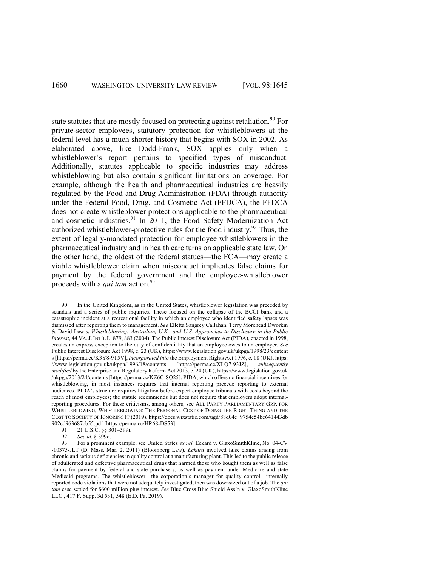state statutes that are mostly focused on protecting against retaliation.<sup>90</sup> For private-sector employees, statutory protection for whistleblowers at the federal level has a much shorter history that begins with SOX in 2002. As elaborated above, like Dodd-Frank, SOX applies only when a whistleblower's report pertains to specified types of misconduct. Additionally, statutes applicable to specific industries may address whistleblowing but also contain significant limitations on coverage. For example, although the health and pharmaceutical industries are heavily regulated by the Food and Drug Administration (FDA) through authority under the Federal Food, Drug, and Cosmetic Act (FFDCA), the FFDCA does not create whistleblower protections applicable to the pharmaceutical and cosmetic industries.<sup>91</sup> In 2011, the Food Safety Modernization Act authorized whistleblower-protective rules for the food industry.92 Thus, the extent of legally-mandated protection for employee whistleblowers in the pharmaceutical industry and in health care turns on applicable state law. On the other hand, the oldest of the federal statues—the FCA—may create a viable whistleblower claim when misconduct implicates false claims for payment by the federal government and the employee-whistleblower proceeds with a *qui tam* action.<sup>93</sup>

<sup>90.</sup> In the United Kingdom, as in the United States, whistleblower legislation was preceded by scandals and a series of public inquiries. These focused on the collapse of the BCCI bank and a catastrophic incident at a recreational facility in which an employee who identified safety lapses was dismissed after reporting them to management. *See* Elletta Sangrey Callahan, Terry Morehead Dworkin & David Lewis, *Whistleblowing: Australian, U.K., and U.S. Approaches to Disclosure in the Public Interest*, 44 VA.J. INT'L L. 879, 883 (2004). The Public Interest Disclosure Act (PIDA), enacted in 1998, creates an express exception to the duty of confidentiality that an employee owes to an employer. *See* Public Interest Disclosure Act 1998, c. 23 (UK), https://www.legislation.gov.uk/ukpga/1998/23/content s [https://perma.cc/K3Y8-9T5V], *incorporated into* the Employment Rights Act 1996, c. 18 (UK), https: //www.legislation.gov.uk/ukpga/1996/18/contents *modified* by the Enterprise and Regulatory Reform Act 2013, c. 24 (UK), https://www.legislation.gov.uk /ukpga/2013/24/contents [https://perma.cc/KZ6C-SQ25]. PIDA, which offers no financial incentives for whistleblowing, in most instances requires that internal reporting precede reporting to external audiences. PIDA's structure requires litigation before expert employee tribunals with costs beyond the reach of most employees; the statute recommends but does not require that employers adopt internalreporting procedures. For these criticisms, among others, see ALL PARTY PARLIAMENTARY GRP. FOR WHISTLEBLOWING, WHISTLEBLOWING: THE PERSONAL COST OF DOING THE RIGHT THING AND THE COST TO SOCIETY OF IGNORING IT (2019), https://docs.wixstatic.com/ugd/88d04c\_9754e54bc641443db 902cd963687cb55.pdf [https://perma.cc/HR68-DS53].

<sup>91.</sup> 21 U.S.C. §§ 301–399i.

<sup>92.</sup> *See id.* § 399d.

<sup>93.</sup> For a prominent example, see United States *ex rel.* Eckard v. GlaxoSmithKline, No. 04-CV -10375-JLT (D. Mass. Mar. 2, 2011) (Bloomberg Law). *Eckard* involved false claims arising from chronic and serious deficiencies in quality control at a manufacturing plant. This led to the public release of adulterated and defective pharmaceutical drugs that harmed those who bought them as well as false claims for payment by federal and state purchasers, as well as payment under Medicare and state Medicaid programs. The whistleblower—the corporation's manager for quality control—internally reported code violations that were not adequately investigated, then was downsized out of a job. The *qui tam* case settled for \$600 million plus interest. *See* Blue Cross Blue Shield Ass'n v. GlaxoSmithKline LLC , 417 F. Supp. 3d 531, 548 (E.D. Pa. 2019).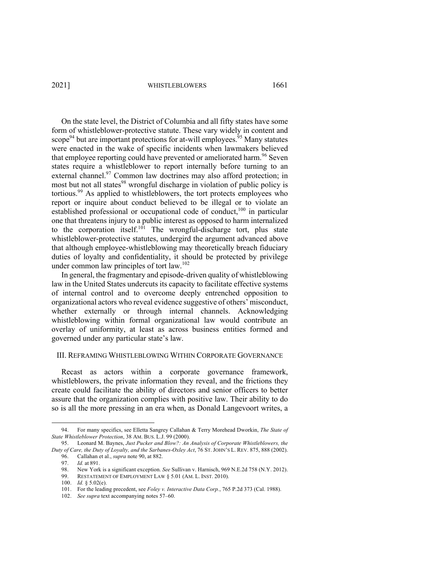On the state level, the District of Columbia and all fifty states have some form of whistleblower-protective statute. These vary widely in content and scope<sup>94</sup> but are important protections for at-will employees.<sup>95</sup> Many statutes were enacted in the wake of specific incidents when lawmakers believed that employee reporting could have prevented or ameliorated harm.<sup>96</sup> Seven states require a whistleblower to report internally before turning to an external channel.<sup>97</sup> Common law doctrines may also afford protection; in most but not all states<sup>98</sup> wrongful discharge in violation of public policy is tortious.<sup>99</sup> As applied to whistleblowers, the tort protects employees who report or inquire about conduct believed to be illegal or to violate an established professional or occupational code of conduct,<sup>100</sup> in particular one that threatens injury to a public interest as opposed to harm internalized to the corporation itself.<sup>101</sup> The wrongful-discharge tort, plus state whistleblower-protective statutes, undergird the argument advanced above that although employee-whistleblowing may theoretically breach fiduciary duties of loyalty and confidentiality, it should be protected by privilege under common law principles of tort law.<sup>102</sup>

In general, the fragmentary and episode-driven quality of whistleblowing law in the United States undercuts its capacity to facilitate effective systems of internal control and to overcome deeply entrenched opposition to organizational actors who reveal evidence suggestive of others' misconduct, whether externally or through internal channels. Acknowledging whistleblowing within formal organizational law would contribute an overlay of uniformity, at least as across business entities formed and governed under any particular state's law.

## III. REFRAMING WHISTLEBLOWING WITHIN CORPORATE GOVERNANCE

Recast as actors within a corporate governance framework, whistleblowers, the private information they reveal, and the frictions they create could facilitate the ability of directors and senior officers to better assure that the organization complies with positive law. Their ability to do so is all the more pressing in an era when, as Donald Langevoort writes, a

<sup>94.</sup> For many specifics, see Elletta Sangrey Callahan & Terry Morehead Dworkin, *The State of State Whistleblower Protection*, 38 AM. BUS. L.J. 99 (2000).

<sup>95.</sup> Leonard M. Baynes, *Just Pucker and Blow?: An Analysis of Corporate Whistleblowers, the Duty of Care, the Duty of Loyalty, and the Sarbanes-Oxley Act*, 76 ST. JOHN'S L. REV. 875, 888 (2002). 96. Callahan et al., *supra* note 90, at 882.

<sup>97.</sup> *Id.* at 891.

<sup>98.</sup> New York is a significant exception. *See* Sullivan v. Harnisch, 969 N.E.2d 758 (N.Y. 2012).

<sup>99.</sup> RESTATEMENT OF EMPLOYMENT LAW § 5.01 (AM. L. INST. 2010).

<sup>100.</sup> *Id.* § 5.02(e).

<sup>101.</sup> For the leading precedent, see *Foley v. Interactive Data Corp.*, 765 P.2d 373 (Cal. 1988).

<sup>102.</sup> *See supra* text accompanying notes 57–60.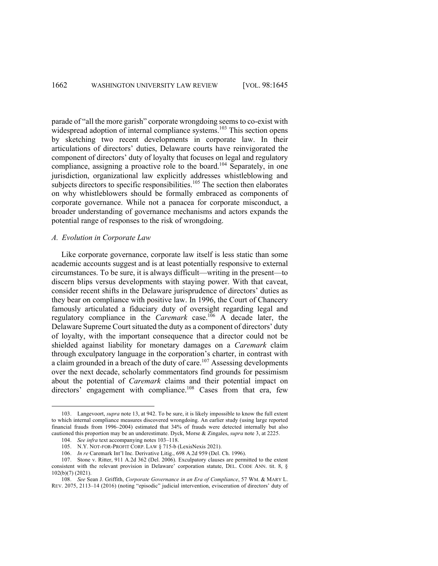parade of "all the more garish" corporate wrongdoing seems to co-exist with widespread adoption of internal compliance systems.<sup>103</sup> This section opens by sketching two recent developments in corporate law. In their articulations of directors' duties, Delaware courts have reinvigorated the component of directors' duty of loyalty that focuses on legal and regulatory compliance, assigning a proactive role to the board.<sup>104</sup> Separately, in one jurisdiction, organizational law explicitly addresses whistleblowing and subjects directors to specific responsibilities.<sup>105</sup> The section then elaborates on why whistleblowers should be formally embraced as components of corporate governance. While not a panacea for corporate misconduct, a broader understanding of governance mechanisms and actors expands the potential range of responses to the risk of wrongdoing.

# *A. Evolution in Corporate Law*

Like corporate governance, corporate law itself is less static than some academic accounts suggest and is at least potentially responsive to external circumstances. To be sure, it is always difficult—writing in the present—to discern blips versus developments with staying power. With that caveat, consider recent shifts in the Delaware jurisprudence of directors' duties as they bear on compliance with positive law. In 1996, the Court of Chancery famously articulated a fiduciary duty of oversight regarding legal and regulatory compliance in the *Caremark* case.106 A decade later, the Delaware Supreme Court situated the duty as a component of directors' duty of loyalty, with the important consequence that a director could not be shielded against liability for monetary damages on a *Caremark* claim through exculpatory language in the corporation's charter, in contrast with a claim grounded in a breach of the duty of care.<sup>107</sup> Assessing developments over the next decade, scholarly commentators find grounds for pessimism about the potential of *Caremark* claims and their potential impact on directors' engagement with compliance.<sup>108</sup> Cases from that era, few

<sup>103.</sup> Langevoort, *supra* note 13, at 942. To be sure, it is likely impossible to know the full extent to which internal compliance measures discovered wrongdoing. An earlier study (using large reported financial frauds from 1996–2004) estimated that 34% of frauds were detected internally but also cautioned this proportion may be an underestimate. Dyck, Morse & Zingales, *supra* note 3, at 2225.

<sup>104.</sup> *See infra* text accompanying notes 103–118.

<sup>105.</sup> N.Y. NOT-FOR-PROFIT CORP. LAW § 715-b (LexisNexis 2021).

<sup>106.</sup> *In re* Caremark Int'l Inc. Derivative Litig., 698 A.2d 959 (Del. Ch. 1996).

<sup>107.</sup> Stone v. Ritter, 911 A.2d 362 (Del. 2006). Exculpatory clauses are permitted to the extent consistent with the relevant provision in Delaware' corporation statute, DEL. CODE ANN. tit. 8, § 102(b)(7) (2021).

<sup>108.</sup> *See* Sean J. Griffith, *Corporate Governance in an Era of Compliance*, 57 WM. & MARY L. REV. 2075, 2113–14 (2016) (noting "episodic" judicial intervention, evisceration of directors' duty of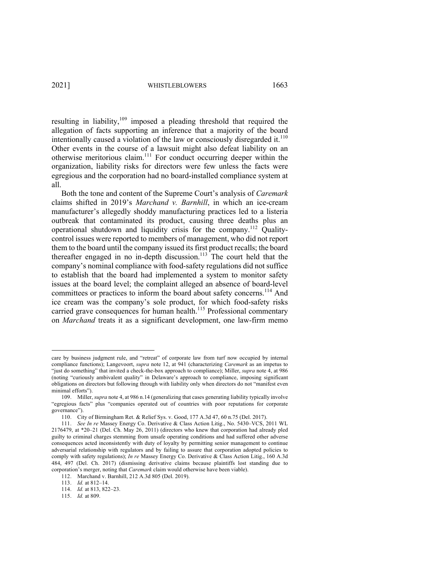resulting in liability,<sup>109</sup> imposed a pleading threshold that required the allegation of facts supporting an inference that a majority of the board intentionally caused a violation of the law or consciously disregarded it. $110$ Other events in the course of a lawsuit might also defeat liability on an otherwise meritorious claim.111 For conduct occurring deeper within the organization, liability risks for directors were few unless the facts were egregious and the corporation had no board-installed compliance system at all.

Both the tone and content of the Supreme Court's analysis of *Caremark*  claims shifted in 2019's *Marchand v. Barnhill*, in which an ice-cream manufacturer's allegedly shoddy manufacturing practices led to a listeria outbreak that contaminated its product, causing three deaths plus an operational shutdown and liquidity crisis for the company.<sup>112</sup> Qualitycontrol issues were reported to members of management, who did not report them to the board until the company issued its first product recalls; the board thereafter engaged in no in-depth discussion.<sup>113</sup> The court held that the company's nominal compliance with food-safety regulations did not suffice to establish that the board had implemented a system to monitor safety issues at the board level; the complaint alleged an absence of board-level committees or practices to inform the board about safety concerns.<sup>114</sup> And ice cream was the company's sole product, for which food-safety risks carried grave consequences for human health.<sup>115</sup> Professional commentary on *Marchand* treats it as a significant development, one law-firm memo

care by business judgment rule, and "retreat" of corporate law from turf now occupied by internal compliance functions); Langevoort, *supra* note 12, at 941 (characterizing *Caremark* as an impetus to "just do something" that invited a check-the-box approach to compliance); Miller, *supra* note 4, at 986 (noting "curiously ambivalent quality" in Delaware's approach to compliance, imposing significant obligations on directors but following through with liability only when directors do not "manifest even minimal efforts").

<sup>109.</sup> Miller, *supra* note 4, at 986 n.14 (generalizing that cases generating liability typically involve "egregious facts" plus "companies operated out of countries with poor reputations for corporate governance").

<sup>110.</sup> City of Birmingham Ret. & Relief Sys. v. Good, 177 A.3d 47, 60 n.75 (Del. 2017).

<sup>111.</sup> *See In re* Massey Energy Co. Derivative & Class Action Litig., No. 5430–VCS, 2011 WL 2176479, at \*20–21 (Del. Ch. May 26, 2011) (directors who knew that corporation had already pled guilty to criminal charges stemming from unsafe operating conditions and had suffered other adverse consequences acted inconsistently with duty of loyalty by permitting senior management to continue adversarial relationship with regulators and by failing to assure that corporation adopted policies to comply with safety regulations); *In re* Massey Energy Co. Derivative & Class Action Litig., 160 A.3d 484, 497 (Del. Ch. 2017) (dismissing derivative claims because plaintiffs lost standing due to corporation's merger, noting that *Caremark* claim would otherwise have been viable).

<sup>112.</sup> Marchand v. Barnhill, 212 A.3d 805 (Del. 2019).

<sup>113.</sup> *Id.* at 812–14.

<sup>114.</sup> *Id.* at 813, 822–23.

<sup>115.</sup> *Id.* at 809.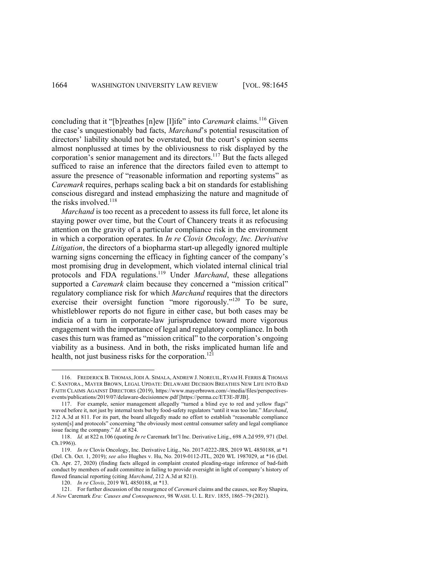concluding that it "[b]reathes [n]ew [l]ife" into *Caremark* claims.<sup>116</sup> Given the case's unquestionably bad facts, *Marchand*'s potential resuscitation of directors' liability should not be overstated, but the court's opinion seems almost nonplussed at times by the obliviousness to risk displayed by the corporation's senior management and its directors.<sup>117</sup> But the facts alleged sufficed to raise an inference that the directors failed even to attempt to assure the presence of "reasonable information and reporting systems" as *Caremark* requires, perhaps scaling back a bit on standards for establishing conscious disregard and instead emphasizing the nature and magnitude of the risks involved. 118

*Marchand* is too recent as a precedent to assess its full force, let alone its staying power over time, but the Court of Chancery treats it as refocusing attention on the gravity of a particular compliance risk in the environment in which a corporation operates. In *In re Clovis Oncology, Inc. Derivative Litigation*, the directors of a biopharma start-up allegedly ignored multiple warning signs concerning the efficacy in fighting cancer of the company's most promising drug in development, which violated internal clinical trial protocols and FDA regulations.<sup>119</sup> Under *Marchand*, these allegations supported a *Caremark* claim because they concerned a "mission critical" regulatory compliance risk for which *Marchand* requires that the directors exercise their oversight function "more rigorously."120 To be sure, whistleblower reports do not figure in either case, but both cases may be indicia of a turn in corporate-law jurisprudence toward more vigorous engagement with the importance of legal and regulatory compliance. In both cases this turn was framed as "mission critical" to the corporation's ongoing viability as a business. And in both, the risks implicated human life and health, not just business risks for the corporation.<sup>121</sup>

<sup>116.</sup> FREDERICK B. THOMAS,JODI A. SIMALA, ANDREW J. NOREUIL, RYAM H. FERRIS & THOMAS C. SANTORA., MAYER BROWN, LEGAL UPDATE: DELAWARE DECISION BREATHES NEW LIFE INTO BAD FAITH CLAIMS AGAINST DIRECTORS (2019), https://www.mayerbrown.com/-/media/files/perspectivesevents/publications/2019/07/delaware-decisionnew.pdf [https://perma.cc/ET3E-JFJB].

<sup>117.</sup> For example, senior management allegedly "turned a blind eye to red and yellow flags" waved before it, not just by internal tests but by food-safety regulators "until it was too late." *Marchand*, 212 A.3d at 811. For its part, the board allegedly made no effort to establish "reasonable compliance system[s] and protocols" concerning "the obviously most central consumer safety and legal compliance issue facing the company." *Id.* at 824.

<sup>118.</sup> *Id.* at 822 n.106 (quoting *In re* Caremark Int'l Inc. Derivative Litig., 698 A.2d 959, 971 (Del. Ch.1996)).

<sup>119.</sup> *In re* Clovis Oncology, Inc. Derivative Litig., No. 2017-0222-JRS, 2019 WL 4850188, at \*1 (Del. Ch. Oct. 1, 2019); *see also* Hughes v. Hu, No. 2019-0112-JTL, 2020 WL 1987029, at \*16 (Del. Ch. Apr. 27, 2020) (finding facts alleged in complaint created pleading-stage inference of bad-faith conduct by members of audit committee in failing to provide oversight in light of company's history of flawed financial reporting (citing *Marchand*, 212 A.3d at 821)).

<sup>120.</sup> *In re Clovis*, 2019 WL 4850188, at \*13.

<sup>121.</sup> For further discussion of the resurgence of *Caremark* claims and the causes, see Roy Shapira, *A New* Caremark *Era: Causes and Consequences*, 98 WASH. U. L. REV. 1855, 1865–79 (2021).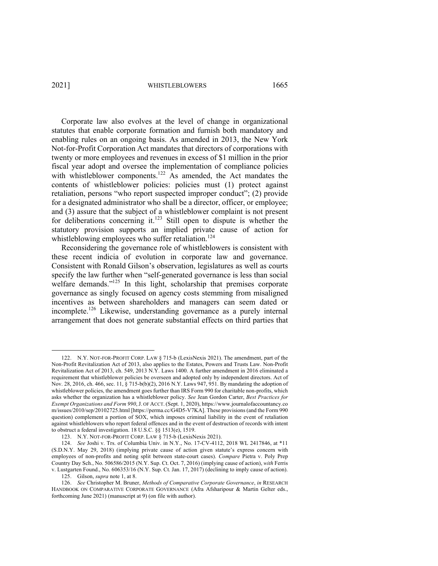Corporate law also evolves at the level of change in organizational statutes that enable corporate formation and furnish both mandatory and enabling rules on an ongoing basis. As amended in 2013, the New York Not-for-Profit Corporation Act mandates that directors of corporations with twenty or more employees and revenues in excess of \$1 million in the prior fiscal year adopt and oversee the implementation of compliance policies with whistleblower components.<sup>122</sup> As amended, the Act mandates the contents of whistleblower policies: policies must (1) protect against retaliation, persons "who report suspected improper conduct"; (2) provide for a designated administrator who shall be a director, officer, or employee; and (3) assure that the subject of a whistleblower complaint is not present for deliberations concerning it.<sup>123</sup> Still open to dispute is whether the statutory provision supports an implied private cause of action for whistleblowing employees who suffer retaliation.<sup>124</sup>

Reconsidering the governance role of whistleblowers is consistent with these recent indicia of evolution in corporate law and governance. Consistent with Ronald Gilson's observation, legislatures as well as courts specify the law further when "self-generated governance is less than social welfare demands." $125$  In this light, scholarship that premises corporate governance as singly focused on agency costs stemming from misaligned incentives as between shareholders and managers can seem dated or incomplete.126 Likewise, understanding governance as a purely internal arrangement that does not generate substantial effects on third parties that

<sup>122.</sup> N.Y. NOT-FOR-PROFIT CORP. LAW § 715-b (LexisNexis 2021). The amendment, part of the Non-Profit Revitalization Act of 2013, also applies to the Estates, Powers and Trusts Law. Non-Profit Revitalization Act of 2013, ch. 549, 2013 N.Y. Laws 1400. A further amendment in 2016 eliminated a requirement that whistleblower policies be overseen and adopted only by independent directors. Act of Nov. 28, 2016, ch. 466, sec. 11, § 715-b(b)(2), 2016 N.Y. Laws 947, 951. By mandating the adoption of whistleblower policies, the amendment goes further than IRS Form 990 for charitable non-profits, which asks whether the organization has a whistleblower policy. *See* Jean Gordon Carter, *Best Practices for Exempt Organizations and Form 990*, J. OF ACCT. (Sept. 1, 2020), https://www.journalofaccountancy.co m/issues/2010/sep/20102725.html [https://perma.cc/G4D5-V7KA]. These provisions (and the Form 990 question) complement a portion of SOX, which imposes criminal liability in the event of retaliation against whistleblowers who report federal offences and in the event of destruction of records with intent to obstruct a federal investigation. 18 U.S.C. §§ 1513(e), 1519.

<sup>123.</sup> N.Y. NOT-FOR-PROFIT CORP. LAW § 715-b (LexisNexis 2021).

<sup>124.</sup> *See* Joshi v. Trs. of Columbia Univ. in N.Y., No. 17-CV-4112, 2018 WL 2417846, at \*11 (S.D.N.Y. May 29, 2018) (implying private cause of action given statute's express concern with employees of non-profits and noting split between state-court cases). *Compare* Pietra v. Poly Prep Country Day Sch., No. 506586/2015 (N.Y. Sup. Ct. Oct. 7, 2016) (implying cause of action), *with* Ferris v. Lustgarten Found., No. 606353/16 (N.Y. Sup. Ct. Jan. 17, 2017) (declining to imply cause of action).

<sup>125.</sup> Gilson, *supra* note 1, at 8.

<sup>126.</sup> *See* Christopher M. Bruner, *Methods of Comparative Corporate Governance*, *in* RESEARCH HANDBOOK ON COMPARATIVE CORPORATE GOVERNANCE (Afra Afsharipour & Martin Gelter eds., forthcoming June 2021) (manuscript at 9) (on file with author).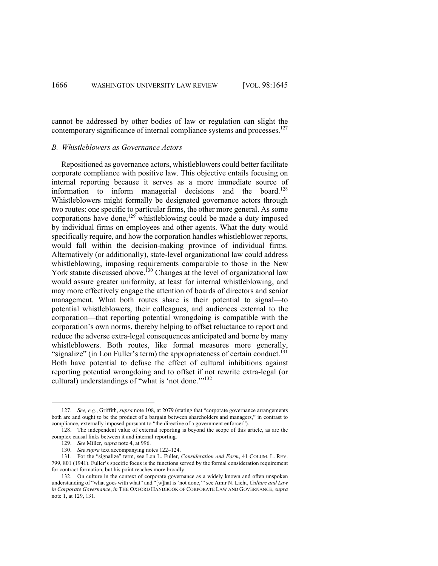cannot be addressed by other bodies of law or regulation can slight the contemporary significance of internal compliance systems and processes.<sup>127</sup>

## *B. Whistleblowers as Governance Actors*

Repositioned as governance actors, whistleblowers could better facilitate corporate compliance with positive law. This objective entails focusing on internal reporting because it serves as a more immediate source of information to inform managerial decisions and the board.<sup>128</sup> Whistleblowers might formally be designated governance actors through two routes: one specific to particular firms, the other more general. As some corporations have done,<sup>129</sup> whistleblowing could be made a duty imposed by individual firms on employees and other agents. What the duty would specifically require, and how the corporation handles whistleblower reports, would fall within the decision-making province of individual firms. Alternatively (or additionally), state-level organizational law could address whistleblowing, imposing requirements comparable to those in the New York statute discussed above.<sup>130</sup> Changes at the level of organizational law would assure greater uniformity, at least for internal whistleblowing, and may more effectively engage the attention of boards of directors and senior management. What both routes share is their potential to signal—to potential whistleblowers, their colleagues, and audiences external to the corporation—that reporting potential wrongdoing is compatible with the corporation's own norms, thereby helping to offset reluctance to report and reduce the adverse extra-legal consequences anticipated and borne by many whistleblowers. Both routes, like formal measures more generally, "signalize" (in Lon Fuller's term) the appropriateness of certain conduct.<sup>131</sup> Both have potential to defuse the effect of cultural inhibitions against reporting potential wrongdoing and to offset if not rewrite extra-legal (or cultural) understandings of "what is 'not done."<sup>132</sup>

<sup>127.</sup> *See, e.g.*, Griffith, *supra* note 108, at 2079 (stating that "corporate governance arrangements both are and ought to be the product of a bargain between shareholders and managers," in contrast to compliance, externally imposed pursuant to "the directive of a government enforcer").

<sup>128.</sup> The independent value of external reporting is beyond the scope of this article, as are the complex causal links between it and internal reporting.

<sup>129.</sup> *See* Miller, *supra* note 4, at 996.

<sup>130.</sup> *See supra* text accompanying notes 122–124.

<sup>131.</sup> For the "signalize" term, see Lon L. Fuller, *Consideration and Form*, 41 COLUM. L. REV. 799, 801 (1941). Fuller's specific focus is the functions served by the formal consideration requirement for contract formation, but his point reaches more broadly.

<sup>132.</sup> On culture in the context of corporate governance as a widely known and often unspoken understanding of "what goes with what" and "[w]hat is 'not done,'" see Amir N. Licht, *Culture and Law in Corporate Governance*, *in* THE OXFORD HANDBOOK OF CORPORATE LAW AND GOVERNANCE, *supra* note 1, at 129, 131.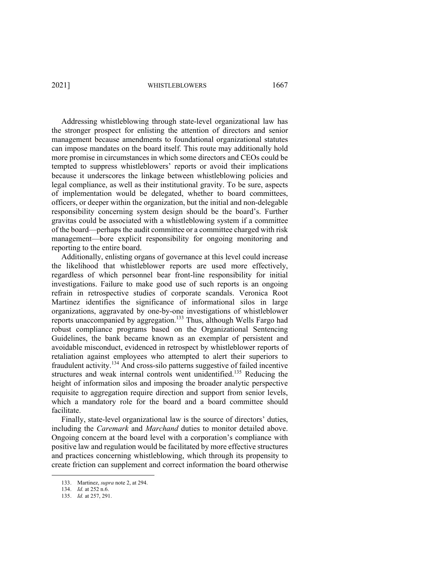Addressing whistleblowing through state-level organizational law has the stronger prospect for enlisting the attention of directors and senior management because amendments to foundational organizational statutes can impose mandates on the board itself. This route may additionally hold more promise in circumstances in which some directors and CEOs could be tempted to suppress whistleblowers' reports or avoid their implications because it underscores the linkage between whistleblowing policies and legal compliance, as well as their institutional gravity. To be sure, aspects of implementation would be delegated, whether to board committees, officers, or deeper within the organization, but the initial and non-delegable responsibility concerning system design should be the board's. Further gravitas could be associated with a whistleblowing system if a committee of the board—perhaps the audit committee or a committee charged with risk management—bore explicit responsibility for ongoing monitoring and reporting to the entire board.

Additionally, enlisting organs of governance at this level could increase the likelihood that whistleblower reports are used more effectively, regardless of which personnel bear front-line responsibility for initial investigations. Failure to make good use of such reports is an ongoing refrain in retrospective studies of corporate scandals. Veronica Root Martinez identifies the significance of informational silos in large organizations, aggravated by one-by-one investigations of whistleblower reports unaccompanied by aggregation.<sup>133</sup> Thus, although Wells Fargo had robust compliance programs based on the Organizational Sentencing Guidelines, the bank became known as an exemplar of persistent and avoidable misconduct, evidenced in retrospect by whistleblower reports of retaliation against employees who attempted to alert their superiors to fraudulent activity.<sup>134</sup> And cross-silo patterns suggestive of failed incentive structures and weak internal controls went unidentified.<sup>135</sup> Reducing the height of information silos and imposing the broader analytic perspective requisite to aggregation require direction and support from senior levels, which a mandatory role for the board and a board committee should facilitate.

Finally, state-level organizational law is the source of directors' duties, including the *Caremark* and *Marchand* duties to monitor detailed above. Ongoing concern at the board level with a corporation's compliance with positive law and regulation would be facilitated by more effective structures and practices concerning whistleblowing, which through its propensity to create friction can supplement and correct information the board otherwise

<sup>133.</sup> Martinez, *supra* note 2, at 294.

<sup>134.</sup> *Id.* at 252 n.6.

<sup>135.</sup> *Id.* at 257, 291.